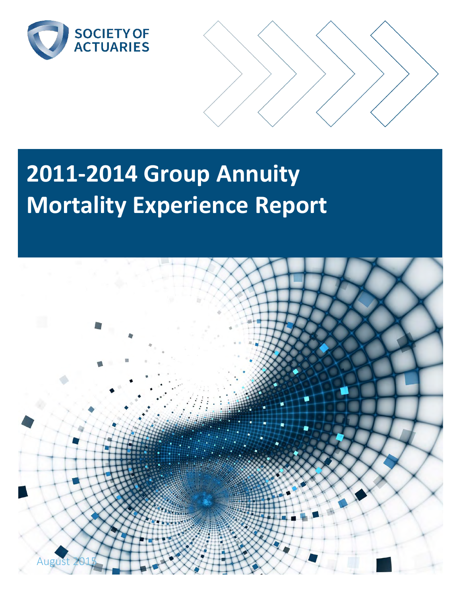



# **2011-2014 Group Annuity Mortality Experience Report**

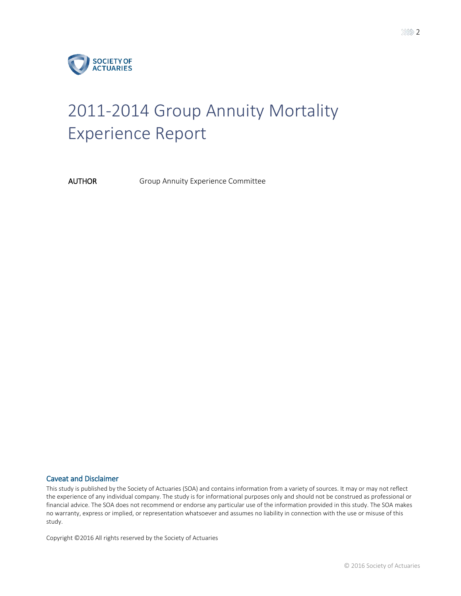

# 2011-2014 Group Annuity Mortality Experience Report

AUTHOR Group Annuity Experience Committee

#### Caveat and Disclaimer

This study is published by the Society of Actuaries (SOA) and contains information from a variety of sources. It may or may not reflect the experience of any individual company. The study is for informational purposes only and should not be construed as professional or financial advice. The SOA does not recommend or endorse any particular use of the information provided in this study. The SOA makes no warranty, express or implied, or representation whatsoever and assumes no liability in connection with the use or misuse of this study.

Copyright ©2016 All rights reserved by the Society of Actuaries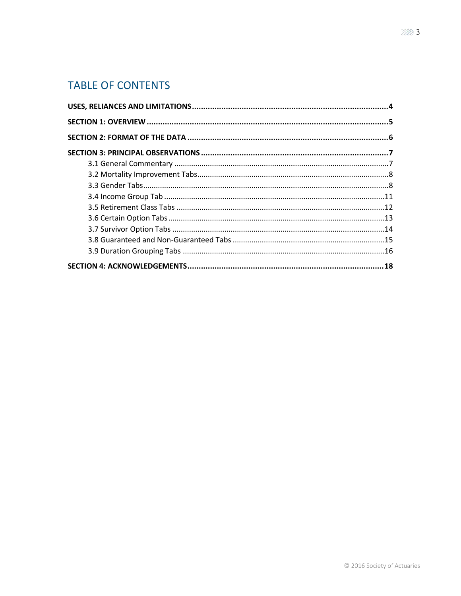# **TABLE OF CONTENTS**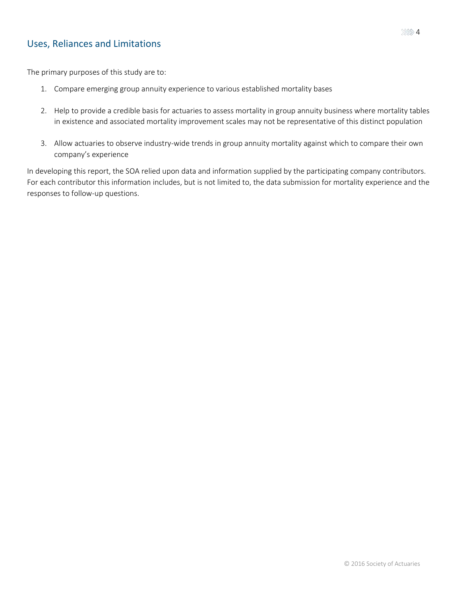# <span id="page-3-0"></span>Uses, Reliances and Limitations

The primary purposes of this study are to:

- 1. Compare emerging group annuity experience to various established mortality bases
- 2. Help to provide a credible basis for actuaries to assess mortality in group annuity business where mortality tables in existence and associated mortality improvement scales may not be representative of this distinct population
- 3. Allow actuaries to observe industry-wide trends in group annuity mortality against which to compare their own company's experience

In developing this report, the SOA relied upon data and information supplied by the participating company contributors. For each contributor this information includes, but is not limited to, the data submission for mortality experience and the responses to follow-up questions.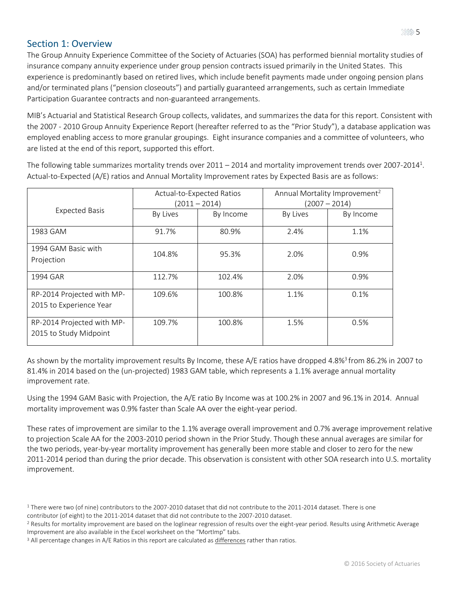### <span id="page-4-0"></span>Section 1: Overview

The Group Annuity Experience Committee of the Society of Actuaries (SOA) has performed biennial mortality studies of insurance company annuity experience under group pension contracts issued primarily in the United States. This experience is predominantly based on retired lives, which include benefit payments made under ongoing pension plans and/or terminated plans ("pension closeouts") and partially guaranteed arrangements, such as certain Immediate Participation Guarantee contracts and non-guaranteed arrangements.

MIB's Actuarial and Statistical Research Group collects, validates, and summarizes the data for this report. Consistent with the 2007 - 2010 Group Annuity Experience Report (hereafter referred to as the "Prior Study"), a database application was employed enabling access to more granular groupings. Eight insurance companies and a committee of volunteers, who are listed at the end of this report, supported this effort.

The following table summarizes mortality trends over 2011 – 2014 and mortality improvement trends over 2007-2014<sup>1</sup>. Actual-to-Expected (A/E) ratios and Annual Mortality Improvement rates by Expected Basis are as follows:

|                                                       | Actual-to-Expected Ratios<br>$(2011 - 2014)$ |           | Annual Mortality Improvement <sup>2</sup> |           |  |
|-------------------------------------------------------|----------------------------------------------|-----------|-------------------------------------------|-----------|--|
|                                                       |                                              |           | $(2007 - 2014)$                           |           |  |
| <b>Expected Basis</b>                                 | By Lives                                     | By Income | By Lives                                  | By Income |  |
| 1983 GAM                                              | 91.7%                                        | 80.9%     | 2.4%                                      | 1.1%      |  |
| 1994 GAM Basic with<br>Projection                     | 104.8%                                       | 95.3%     | 2.0%                                      | 0.9%      |  |
| 1994 GAR                                              | 112.7%                                       | 102.4%    | 2.0%                                      | 0.9%      |  |
| RP-2014 Projected with MP-<br>2015 to Experience Year | 109.6%                                       | 100.8%    | 1.1%                                      | 0.1%      |  |
| RP-2014 Projected with MP-<br>2015 to Study Midpoint  | 109.7%                                       | 100.8%    | 1.5%                                      | 0.5%      |  |

As shown by the mortality improvement results By Income, these A/E ratios have dropped 4.8%<sup>3</sup> from 86.2% in 2007 to 81.4% in 2014 based on the (un-projected) 1983 GAM table, which represents a 1.1% average annual mortality improvement rate.

Using the 1994 GAM Basic with Projection, the A/E ratio By Income was at 100.2% in 2007 and 96.1% in 2014. Annual mortality improvement was 0.9% faster than Scale AA over the eight-year period.

These rates of improvement are similar to the 1.1% average overall improvement and 0.7% average improvement relative to projection Scale AA for the 2003-2010 period shown in the Prior Study. Though these annual averages are similar for the two periods, year-by-year mortality improvement has generally been more stable and closer to zero for the new 2011-2014 period than during the prior decade. This observation is consistent with other SOA research into U.S. mortality improvement.

<sup>&</sup>lt;sup>1</sup> There were two (of nine) contributors to the 2007-2010 dataset that did not contribute to the 2011-2014 dataset. There is one contributor (of eight) to the 2011-2014 dataset that did not contribute to the 2007-2010 dataset.

<sup>2</sup> Results for mortality improvement are based on the loglinear regression of results over the eight-year period. Results using Arithmetic Average Improvement are also available in the Excel worksheet on the "MortImp" tabs.

<sup>&</sup>lt;sup>3</sup> All percentage changes in A/E Ratios in this report are calculated as differences rather than ratios.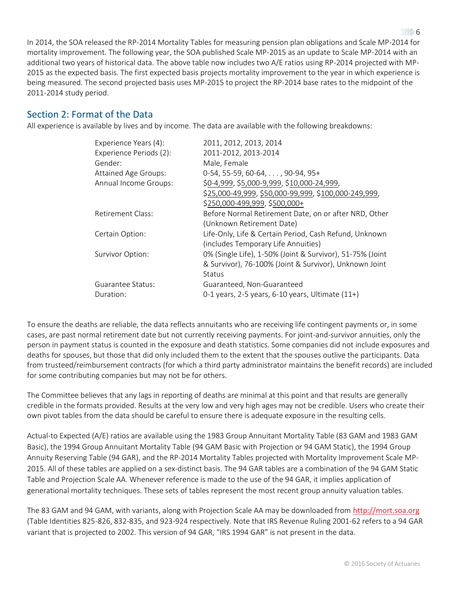In 2014, the SOA released the RP-2014 Mortality Tables for measuring pension plan obligations and Scale MP-2014 for mortality improvement. The following year, the SOA published Scale MP-2015 as an update to Scale MP-2014 with an additional two years of historical data. The above table now includes two A/E ratios using RP-2014 projected with MP-2015 as the expected basis. The first expected basis projects mortality improvement to the year in which experience is being measured. The second projected basis uses MP-2015 to project the RP-2014 base rates to the midpoint of the 2011-2014 study period.

# <span id="page-5-0"></span>Section 2: Format of the Data

All experience is available by lives and by income. The data are available with the following breakdowns:

| Experience Years (4):       | 2011, 2012, 2013, 2014                                    |
|-----------------------------|-----------------------------------------------------------|
| Experience Periods (2):     | 2011-2012, 2013-2014                                      |
| Gender:                     | Male, Female                                              |
| <b>Attained Age Groups:</b> | $0-54, 55-59, 60-64, \ldots$ , 90-94, 95+                 |
| Annual Income Groups:       | \$0-4,999, \$5,000-9,999, \$10,000-24,999,                |
|                             | \$25,000-49,999, \$50,000-99,999, \$100,000-249,999,      |
|                             | \$250,000-499,999, \$500,000+                             |
| Retirement Class:           | Before Normal Retirement Date, on or after NRD, Other     |
|                             | (Unknown Retirement Date)                                 |
| Certain Option:             | Life-Only, Life & Certain Period, Cash Refund, Unknown    |
|                             | (includes Temporary Life Annuities)                       |
| Survivor Option:            | 0% (Single Life), 1-50% (Joint & Survivor), 51-75% (Joint |
|                             | & Survivor), 76-100% (Joint & Survivor), Unknown Joint    |
|                             | <b>Status</b>                                             |
| Guarantee Status:           | Guaranteed, Non-Guaranteed                                |
| Duration:                   | 0-1 years, $2-5$ years, $6-10$ years, Ultimate $(11+)$    |
|                             |                                                           |

To ensure the deaths are reliable, the data reflects annuitants who are receiving life contingent payments or, in some cases, are past normal retirement date but not currently receiving payments. For joint-and-survivor annuities, only the person in payment status is counted in the exposure and death statistics. Some companies did not include exposures and deaths for spouses, but those that did only included them to the extent that the spouses outlive the participants. Data from trusteed/reimbursement contracts (for which a third party administrator maintains the benefit records) are included for some contributing companies but may not be for others.

The Committee believes that any lags in reporting of deaths are minimal at this point and that results are generally credible in the formats provided. Results at the very low and very high ages may not be credible. Users who create their own pivot tables from the data should be careful to ensure there is adequate exposure in the resulting cells.

Actual-to Expected (A/E) ratios are available using the 1983 Group Annuitant Mortality Table (83 GAM and 1983 GAM Basic), the 1994 Group Annuitant Mortality Table (94 GAM Basic with Projection or 94 GAM Static), the 1994 Group Annuity Reserving Table (94 GAR), and the RP-2014 Mortality Tables projected with Mortality Improvement Scale MP-2015. All of these tables are applied on a sex-distinct basis. The 94 GAR tables are a combination of the 94 GAM Static Table and Projection Scale AA. Whenever reference is made to the use of the 94 GAR, it implies application of generational mortality techniques. These sets of tables represent the most recent group annuity valuation tables.

The 83 GAM and 94 GAM, with variants, along with Projection Scale AA may be downloaded from [http://mort.soa.org](http://mort.soa.org/) (Table Identities 825-826, 832-835, and 923-924 respectively. Note that IRS Revenue Ruling 2001-62 refers to a 94 GAR variant that is projected to 2002. This version of 94 GAR, "IRS 1994 GAR" is not present in the data.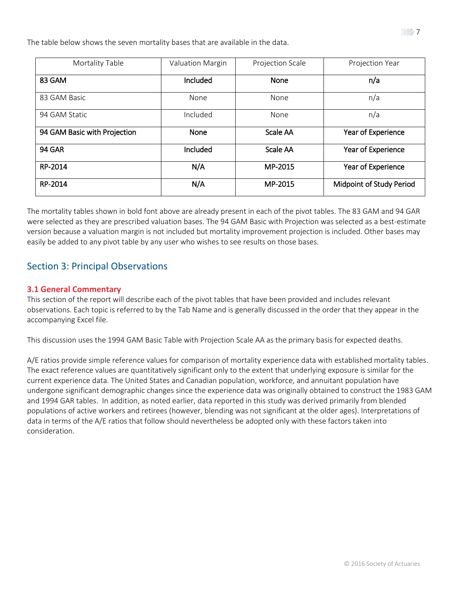The table below shows the seven mortality bases that are available in the data.

| Mortality Table              | <b>Valuation Margin</b> | Projection Scale | Projection Year                 |
|------------------------------|-------------------------|------------------|---------------------------------|
| 83 GAM                       | Included                | <b>None</b>      | n/a                             |
| 83 GAM Basic                 | None                    | None             | n/a                             |
| 94 GAM Static                | Included                | None             | n/a                             |
| 94 GAM Basic with Projection | <b>None</b>             | Scale AA         | Year of Experience              |
| <b>94 GAR</b>                | Included                | Scale AA         | Year of Experience              |
| RP-2014                      | N/A                     | MP-2015          | Year of Experience              |
| RP-2014                      | N/A                     | MP-2015          | <b>Midpoint of Study Period</b> |

The mortality tables shown in bold font above are already present in each of the pivot tables. The 83 GAM and 94 GAR were selected as they are prescribed valuation bases. The 94 GAM Basic with Projection was selected as a best-estimate version because a valuation margin is not included but mortality improvement projection is included. Other bases may easily be added to any pivot table by any user who wishes to see results on those bases.

# <span id="page-6-0"></span>Section 3: Principal Observations

#### <span id="page-6-1"></span>**3.1 General Commentary**

This section of the report will describe each of the pivot tables that have been provided and includes relevant observations. Each topic is referred to by the Tab Name and is generally discussed in the order that they appear in the accompanying Excel file.

This discussion uses the 1994 GAM Basic Table with Projection Scale AA as the primary basis for expected deaths.

A/E ratios provide simple reference values for comparison of mortality experience data with established mortality tables. The exact reference values are quantitatively significant only to the extent that underlying exposure is similar for the current experience data. The United States and Canadian population, workforce, and annuitant population have undergone significant demographic changes since the experience data was originally obtained to construct the 1983 GAM and 1994 GAR tables. In addition, as noted earlier, data reported in this study was derived primarily from blended populations of active workers and retirees (however, blending was not significant at the older ages). Interpretations of data in terms of the A/E ratios that follow should nevertheless be adopted only with these factors taken into consideration.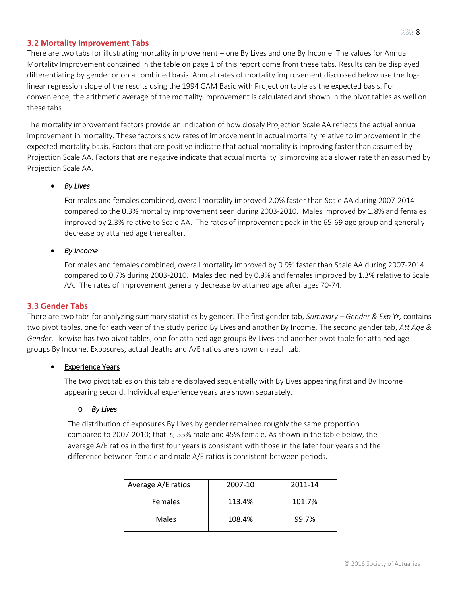#### <span id="page-7-0"></span>**3.2 Mortality Improvement Tabs**

There are two tabs for illustrating mortality improvement – one By Lives and one By Income. The values for Annual Mortality Improvement contained in the table on page 1 of this report come from these tabs. Results can be displayed differentiating by gender or on a combined basis. Annual rates of mortality improvement discussed below use the loglinear regression slope of the results using the 1994 GAM Basic with Projection table as the expected basis. For convenience, the arithmetic average of the mortality improvement is calculated and shown in the pivot tables as well on these tabs.

The mortality improvement factors provide an indication of how closely Projection Scale AA reflects the actual annual improvement in mortality. These factors show rates of improvement in actual mortality relative to improvement in the expected mortality basis. Factors that are positive indicate that actual mortality is improving faster than assumed by Projection Scale AA. Factors that are negative indicate that actual mortality is improving at a slower rate than assumed by Projection Scale AA.

#### *By Lives*

For males and females combined, overall mortality improved 2.0% faster than Scale AA during 2007-2014 compared to the 0.3% mortality improvement seen during 2003-2010. Males improved by 1.8% and females improved by 2.3% relative to Scale AA. The rates of improvement peak in the 65-69 age group and generally decrease by attained age thereafter.

#### *By Income*

For males and females combined, overall mortality improved by 0.9% faster than Scale AA during 2007-2014 compared to 0.7% during 2003-2010. Males declined by 0.9% and females improved by 1.3% relative to Scale AA. The rates of improvement generally decrease by attained age after ages 70-74.

#### <span id="page-7-1"></span>**3.3 Gender Tabs**

There are two tabs for analyzing summary statistics by gender. The first gender tab, *Summary – Gender & Exp Yr,* contains two pivot tables, one for each year of the study period By Lives and another By Income. The second gender tab, *Att Age & Gender*, likewise has two pivot tables, one for attained age groups By Lives and another pivot table for attained age groups By Income. Exposures, actual deaths and A/E ratios are shown on each tab.

#### Experience Years

The two pivot tables on this tab are displayed sequentially with By Lives appearing first and By Income appearing second. Individual experience years are shown separately.

#### o *By Lives*

The distribution of exposures By Lives by gender remained roughly the same proportion compared to 2007-2010; that is, 55% male and 45% female. As shown in the table below, the average A/E ratios in the first four years is consistent with those in the later four years and the difference between female and male A/E ratios is consistent between periods.

| Average A/E ratios | 2007-10 | 2011-14 |
|--------------------|---------|---------|
| Females            | 113.4%  | 101.7%  |
| Males              | 108.4%  | 99.7%   |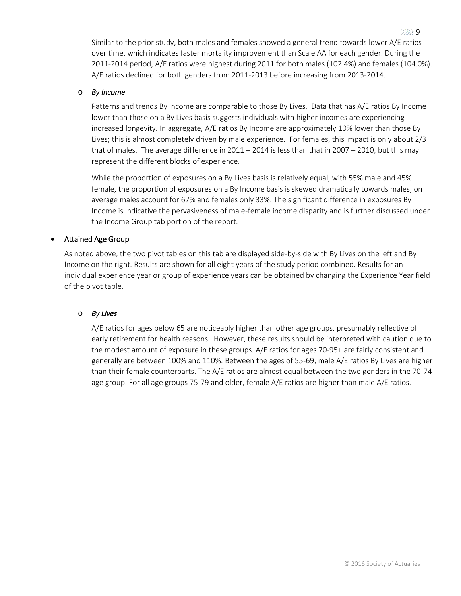Similar to the prior study, both males and females showed a general trend towards lower A/E ratios over time, which indicates faster mortality improvement than Scale AA for each gender. During the 2011-2014 period, A/E ratios were highest during 2011 for both males (102.4%) and females (104.0%). A/E ratios declined for both genders from 2011-2013 before increasing from 2013-2014.

#### o *By Income*

Patterns and trends By Income are comparable to those By Lives. Data that has A/E ratios By Income lower than those on a By Lives basis suggests individuals with higher incomes are experiencing increased longevity. In aggregate, A/E ratios By Income are approximately 10% lower than those By Lives; this is almost completely driven by male experience. For females, this impact is only about 2/3 that of males. The average difference in  $2011 - 2014$  is less than that in  $2007 - 2010$ , but this may represent the different blocks of experience.

While the proportion of exposures on a By Lives basis is relatively equal, with 55% male and 45% female, the proportion of exposures on a By Income basis is skewed dramatically towards males; on average males account for 67% and females only 33%. The significant difference in exposures By Income is indicative the pervasiveness of male-female income disparity and is further discussed under the Income Group tab portion of the report.

#### Attained Age Group

As noted above, the two pivot tables on this tab are displayed side-by-side with By Lives on the left and By Income on the right. Results are shown for all eight years of the study period combined. Results for an individual experience year or group of experience years can be obtained by changing the Experience Year field of the pivot table.

#### o *By Lives*

A/E ratios for ages below 65 are noticeably higher than other age groups, presumably reflective of early retirement for health reasons. However, these results should be interpreted with caution due to the modest amount of exposure in these groups. A/E ratios for ages 70-95+ are fairly consistent and generally are between 100% and 110%. Between the ages of 55-69, male A/E ratios By Lives are higher than their female counterparts. The A/E ratios are almost equal between the two genders in the 70-74 age group. For all age groups 75-79 and older, female A/E ratios are higher than male A/E ratios.

© 2016 Society of Actuaries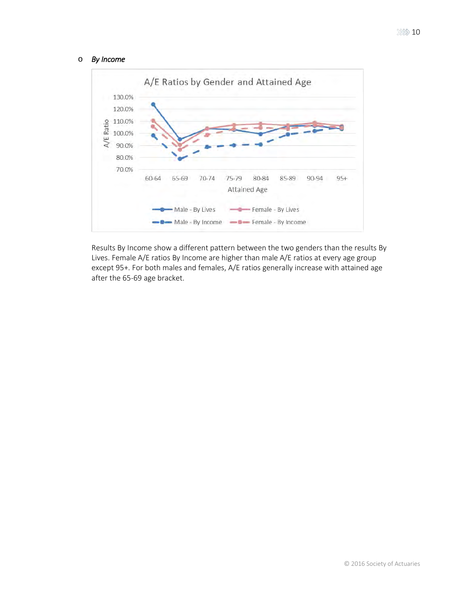#### o *By Income*



Results By Income show a different pattern between the two genders than the results By Lives. Female A/E ratios By Income are higher than male A/E ratios at every age group except 95+. For both males and females, A/E ratios generally increase with attained age after the 65-69 age bracket.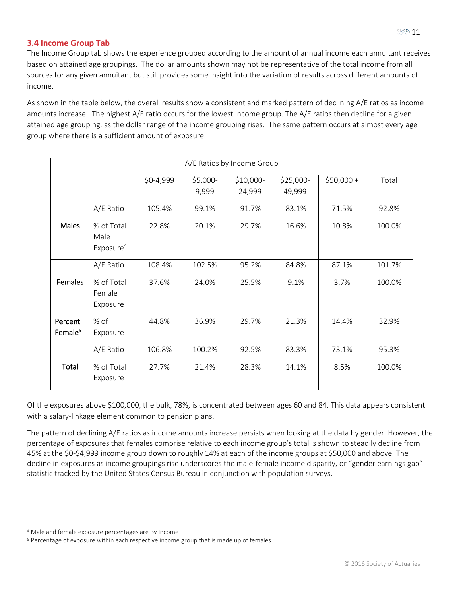#### <span id="page-10-0"></span>**3.4 Income Group Tab**

The Income Group tab shows the experience grouped according to the amount of annual income each annuitant receives based on attained age groupings. The dollar amounts shown may not be representative of the total income from all sources for any given annuitant but still provides some insight into the variation of results across different amounts of income.

As shown in the table below, the overall results show a consistent and marked pattern of declining A/E ratios as income amounts increase. The highest A/E ratio occurs for the lowest income group. The A/E ratios then decline for a given attained age grouping, as the dollar range of the income grouping rises. The same pattern occurs at almost every age group where there is a sufficient amount of exposure.

| A/E Ratios by Income Group     |                                             |        |                   |                      |                     |             |        |
|--------------------------------|---------------------------------------------|--------|-------------------|----------------------|---------------------|-------------|--------|
| $$0-4,999$                     |                                             |        | \$5,000-<br>9,999 | $$10,000-$<br>24,999 | \$25,000-<br>49,999 | $$50,000 +$ | Total  |
|                                | A/E Ratio                                   | 105.4% | 99.1%             | 91.7%                | 83.1%               | 71.5%       | 92.8%  |
| <b>Males</b>                   | % of Total<br>Male<br>Exposure <sup>4</sup> | 22.8%  | 20.1%             | 29.7%                | 16.6%               | 10.8%       | 100.0% |
|                                | A/E Ratio                                   | 108.4% | 102.5%            | 95.2%                | 84.8%               | 87.1%       | 101.7% |
| Females                        | % of Total<br>Female<br>Exposure            | 37.6%  | 24.0%             | 25.5%                | 9.1%                | 3.7%        | 100.0% |
| Percent<br>Female <sup>5</sup> | % of<br>Exposure                            | 44.8%  | 36.9%             | 29.7%                | 21.3%               | 14.4%       | 32.9%  |
|                                | A/E Ratio                                   | 106.8% | 100.2%            | 92.5%                | 83.3%               | 73.1%       | 95.3%  |
| Total                          | % of Total<br>Exposure                      | 27.7%  | 21.4%             | 28.3%                | 14.1%               | 8.5%        | 100.0% |

Of the exposures above \$100,000, the bulk, 78%, is concentrated between ages 60 and 84. This data appears consistent with a salary-linkage element common to pension plans.

The pattern of declining A/E ratios as income amounts increase persists when looking at the data by gender. However, the percentage of exposures that females comprise relative to each income group's total is shown to steadily decline from 45% at the \$0-\$4,999 income group down to roughly 14% at each of the income groups at \$50,000 and above. The decline in exposures as income groupings rise underscores the male-female income disparity, or "gender earnings gap" statistic tracked by the United States Census Bureau in conjunction with population surveys.

<sup>5</sup> Percentage of exposure within each respective income group that is made up of females

<sup>4</sup> Male and female exposure percentages are By Income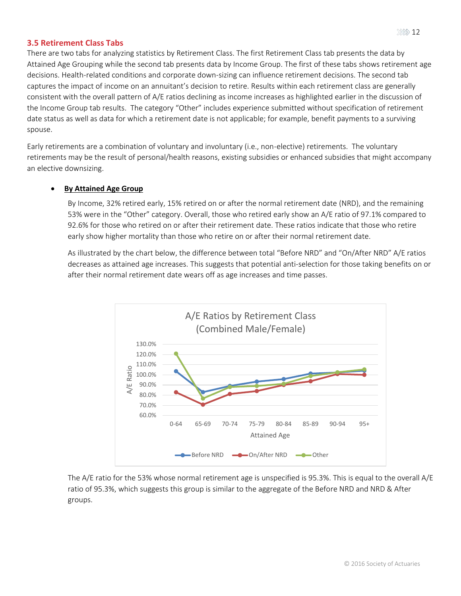#### <span id="page-11-0"></span>**3.5 Retirement Class Tabs**

There are two tabs for analyzing statistics by Retirement Class. The first Retirement Class tab presents the data by Attained Age Grouping while the second tab presents data by Income Group. The first of these tabs shows retirement age decisions. Health-related conditions and corporate down-sizing can influence retirement decisions. The second tab captures the impact of income on an annuitant's decision to retire. Results within each retirement class are generally consistent with the overall pattern of A/E ratios declining as income increases as highlighted earlier in the discussion of the Income Group tab results. The category "Other" includes experience submitted without specification of retirement date status as well as data for which a retirement date is not applicable; for example, benefit payments to a surviving spouse.

Early retirements are a combination of voluntary and involuntary (i.e., non-elective) retirements. The voluntary retirements may be the result of personal/health reasons, existing subsidies or enhanced subsidies that might accompany an elective downsizing.

#### **By Attained Age Group**

By Income, 32% retired early, 15% retired on or after the normal retirement date (NRD), and the remaining 53% were in the "Other" category. Overall, those who retired early show an A/E ratio of 97.1% compared to 92.6% for those who retired on or after their retirement date. These ratios indicate that those who retire early show higher mortality than those who retire on or after their normal retirement date.

As illustrated by the chart below, the difference between total "Before NRD" and "On/After NRD" A/E ratios decreases as attained age increases. This suggests that potential anti-selection for those taking benefits on or after their normal retirement date wears off as age increases and time passes.



The A/E ratio for the 53% whose normal retirement age is unspecified is 95.3%. This is equal to the overall A/E ratio of 95.3%, which suggests this group is similar to the aggregate of the Before NRD and NRD & After groups.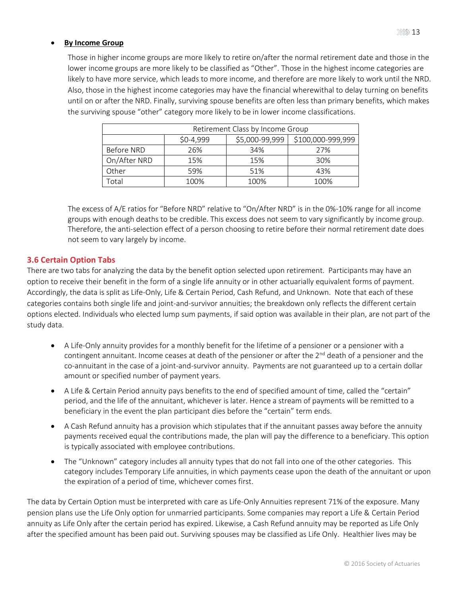Those in higher income groups are more likely to retire on/after the normal retirement date and those in the lower income groups are more likely to be classified as "Other". Those in the highest income categories are likely to have more service, which leads to more income, and therefore are more likely to work until the NRD. Also, those in the highest income categories may have the financial wherewithal to delay turning on benefits until on or after the NRD. Finally, surviving spouse benefits are often less than primary benefits, which makes the surviving spouse "other" category more likely to be in lower income classifications.

| Retirement Class by Income Group |                                                   |      |      |  |  |
|----------------------------------|---------------------------------------------------|------|------|--|--|
|                                  | \$5,000-99,999<br>\$100,000-999,999<br>$$0-4,999$ |      |      |  |  |
| Before NRD                       | 26%                                               | 34%  | 27%  |  |  |
| On/After NRD<br>15%<br>15%       |                                                   | 30%  |      |  |  |
| Other                            | 59%                                               | 51%  | 43%  |  |  |
| <sup>-</sup> otal                | 100%                                              | 100% | 100% |  |  |

The excess of A/E ratios for "Before NRD" relative to "On/After NRD" is in the 0%-10% range for all income groups with enough deaths to be credible. This excess does not seem to vary significantly by income group. Therefore, the anti-selection effect of a person choosing to retire before their normal retirement date does not seem to vary largely by income.

#### <span id="page-12-0"></span>**3.6 Certain Option Tabs**

There are two tabs for analyzing the data by the benefit option selected upon retirement. Participants may have an option to receive their benefit in the form of a single life annuity or in other actuarially equivalent forms of payment. Accordingly, the data is split as Life-Only, Life & Certain Period, Cash Refund, and Unknown. Note that each of these categories contains both single life and joint-and-survivor annuities; the breakdown only reflects the different certain options elected. Individuals who elected lump sum payments, if said option was available in their plan, are not part of the study data.

- A Life-Only annuity provides for a monthly benefit for the lifetime of a pensioner or a pensioner with a contingent annuitant. Income ceases at death of the pensioner or after the 2<sup>nd</sup> death of a pensioner and the co-annuitant in the case of a joint-and-survivor annuity. Payments are not guaranteed up to a certain dollar amount or specified number of payment years.
- A Life & Certain Period annuity pays benefits to the end of specified amount of time, called the "certain" period, and the life of the annuitant, whichever is later. Hence a stream of payments will be remitted to a beneficiary in the event the plan participant dies before the "certain" term ends.
- A Cash Refund annuity has a provision which stipulates that if the annuitant passes away before the annuity payments received equal the contributions made, the plan will pay the difference to a beneficiary. This option is typically associated with employee contributions.
- The "Unknown" category includes all annuity types that do not fall into one of the other categories. This category includes Temporary Life annuities, in which payments cease upon the death of the annuitant or upon the expiration of a period of time, whichever comes first.

The data by Certain Option must be interpreted with care as Life-Only Annuities represent 71% of the exposure. Many pension plans use the Life Only option for unmarried participants. Some companies may report a Life & Certain Period annuity as Life Only after the certain period has expired. Likewise, a Cash Refund annuity may be reported as Life Only after the specified amount has been paid out. Surviving spouses may be classified as Life Only. Healthier lives may be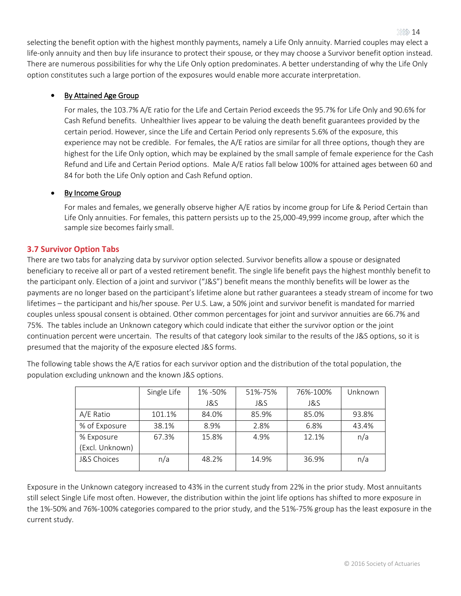selecting the benefit option with the highest monthly payments, namely a Life Only annuity. Married couples may elect a life-only annuity and then buy life insurance to protect their spouse, or they may choose a Survivor benefit option instead. There are numerous possibilities for why the Life Only option predominates. A better understanding of why the Life Only option constitutes such a large portion of the exposures would enable more accurate interpretation.

#### • By Attained Age Group

For males, the 103.7% A/E ratio for the Life and Certain Period exceeds the 95.7% for Life Only and 90.6% for Cash Refund benefits. Unhealthier lives appear to be valuing the death benefit guarantees provided by the certain period. However, since the Life and Certain Period only represents 5.6% of the exposure, this experience may not be credible. For females, the A/E ratios are similar for all three options, though they are highest for the Life Only option, which may be explained by the small sample of female experience for the Cash Refund and Life and Certain Period options. Male A/E ratios fall below 100% for attained ages between 60 and 84 for both the Life Only option and Cash Refund option.

#### • By Income Group

For males and females, we generally observe higher A/E ratios by income group for Life & Period Certain than Life Only annuities. For females, this pattern persists up to the 25,000-49,999 income group, after which the sample size becomes fairly small.

#### <span id="page-13-0"></span>**3.7 Survivor Option Tabs**

There are two tabs for analyzing data by survivor option selected. Survivor benefits allow a spouse or designated beneficiary to receive all or part of a vested retirement benefit. The single life benefit pays the highest monthly benefit to the participant only. Election of a joint and survivor ("J&S") benefit means the monthly benefits will be lower as the payments are no longer based on the participant's lifetime alone but rather guarantees a steady stream of income for two lifetimes – the participant and his/her spouse. Per U.S. Law, a 50% joint and survivor benefit is mandated for married couples unless spousal consent is obtained. Other common percentages for joint and survivor annuities are 66.7% and 75%. The tables include an Unknown category which could indicate that either the survivor option or the joint continuation percent were uncertain. The results of that category look similar to the results of the J&S options, so it is presumed that the majority of the exposure elected J&S forms.

The following table shows the A/E ratios for each survivor option and the distribution of the total population, the population excluding unknown and the known J&S options.

|                        | Single Life | 1% -50% | 51%-75% | 76%-100% | Unknown |
|------------------------|-------------|---------|---------|----------|---------|
|                        |             | J&S     | J&S     | J&S      |         |
| A/E Ratio              | 101.1%      | 84.0%   | 85.9%   | 85.0%    | 93.8%   |
| % of Exposure          | 38.1%       | 8.9%    | 2.8%    | 6.8%     | 43.4%   |
| % Exposure             | 67.3%       | 15.8%   | 4.9%    | 12.1%    | n/a     |
| (Excl. Unknown)        |             |         |         |          |         |
| <b>J&amp;S Choices</b> | n/a         | 48.2%   | 14.9%   | 36.9%    | n/a     |

Exposure in the Unknown category increased to 43% in the current study from 22% in the prior study. Most annuitants still select Single Life most often. However, the distribution within the joint life options has shifted to more exposure in the 1%-50% and 76%-100% categories compared to the prior study, and the 51%-75% group has the least exposure in the current study.

 $322$  14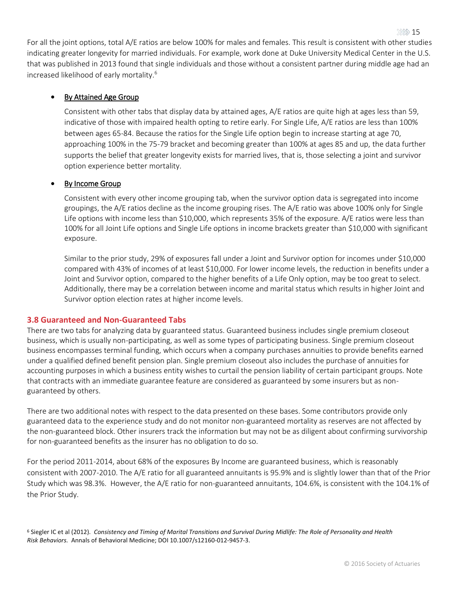For all the joint options, total A/E ratios are below 100% for males and females. This result is consistent with other studies indicating greater longevity for married individuals. For example, work done at Duke University Medical Center in the U.S. that was published in 2013 found that single individuals and those without a consistent partner during middle age had an increased likelihood of early mortality.<sup>6</sup>

#### • By Attained Age Group

Consistent with other tabs that display data by attained ages, A/E ratios are quite high at ages less than 59, indicative of those with impaired health opting to retire early. For Single Life, A/E ratios are less than 100% between ages 65-84. Because the ratios for the Single Life option begin to increase starting at age 70, approaching 100% in the 75-79 bracket and becoming greater than 100% at ages 85 and up, the data further supports the belief that greater longevity exists for married lives, that is, those selecting a joint and survivor option experience better mortality.

#### By Income Group

Consistent with every other income grouping tab, when the survivor option data is segregated into income groupings, the A/E ratios decline as the income grouping rises. The A/E ratio was above 100% only for Single Life options with income less than \$10,000, which represents 35% of the exposure. A/E ratios were less than 100% for all Joint Life options and Single Life options in income brackets greater than \$10,000 with significant exposure.

Similar to the prior study, 29% of exposures fall under a Joint and Survivor option for incomes under \$10,000 compared with 43% of incomes of at least \$10,000. For lower income levels, the reduction in benefits under a Joint and Survivor option, compared to the higher benefits of a Life Only option, may be too great to select. Additionally, there may be a correlation between income and marital status which results in higher Joint and Survivor option election rates at higher income levels.

#### <span id="page-14-0"></span>**3.8 Guaranteed and Non-Guaranteed Tabs**

There are two tabs for analyzing data by guaranteed status. Guaranteed business includes single premium closeout business, which is usually non-participating, as well as some types of participating business. Single premium closeout business encompasses terminal funding, which occurs when a company purchases annuities to provide benefits earned under a qualified defined benefit pension plan. Single premium closeout also includes the purchase of annuities for accounting purposes in which a business entity wishes to curtail the pension liability of certain participant groups. Note that contracts with an immediate guarantee feature are considered as guaranteed by some insurers but as nonguaranteed by others.

There are two additional notes with respect to the data presented on these bases. Some contributors provide only guaranteed data to the experience study and do not monitor non-guaranteed mortality as reserves are not affected by the non-guaranteed block. Other insurers track the information but may not be as diligent about confirming survivorship for non-guaranteed benefits as the insurer has no obligation to do so.

For the period 2011-2014, about 68% of the exposures By Income are guaranteed business, which is reasonably consistent with 2007-2010. The A/E ratio for all guaranteed annuitants is 95.9% and is slightly lower than that of the Prior Study which was 98.3%. However, the A/E ratio for non-guaranteed annuitants, 104.6%, is consistent with the 104.1% of the Prior Study.

6 Siegler IC et al (2012). *Consistency and Timing of Marital Transitions and Survival During Midlife: The Role of Personality and Health Risk Behaviors.* Annals of Behavioral Medicine; DOI 10.1007/s12160-012-9457-3.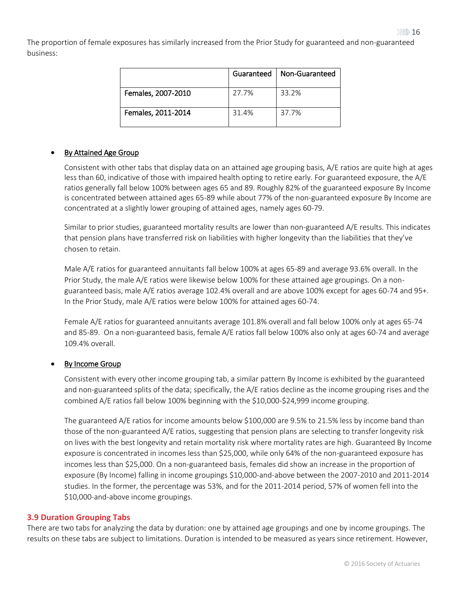The proportion of female exposures has similarly increased from the Prior Study for guaranteed and non-guaranteed business:

|                    | Guaranteed | Non-Guaranteed |
|--------------------|------------|----------------|
| Females, 2007-2010 | 27.7%      | 33.2%          |
| Females, 2011-2014 | 31.4%      | 37.7%          |

#### • By Attained Age Group ī

Consistent with other tabs that display data on an attained age grouping basis, A/E ratios are quite high at ages less than 60, indicative of those with impaired health opting to retire early. For guaranteed exposure, the A/E ratios generally fall below 100% between ages 65 and 89. Roughly 82% of the guaranteed exposure By Income is concentrated between attained ages 65-89 while about 77% of the non-guaranteed exposure By Income are concentrated at a slightly lower grouping of attained ages, namely ages 60-79.

Similar to prior studies, guaranteed mortality results are lower than non-guaranteed A/E results. This indicates that pension plans have transferred risk on liabilities with higher longevity than the liabilities that they've chosen to retain.

Male A/E ratios for guaranteed annuitants fall below 100% at ages 65-89 and average 93.6% overall. In the Prior Study, the male A/E ratios were likewise below 100% for these attained age groupings. On a nonguaranteed basis, male A/E ratios average 102.4% overall and are above 100% except for ages 60-74 and 95+. In the Prior Study, male A/E ratios were below 100% for attained ages 60-74.

Female A/E ratios for guaranteed annuitants average 101.8% overall and fall below 100% only at ages 65-74 and 85-89. On a non-guaranteed basis, female A/E ratios fall below 100% also only at ages 60-74 and average 109.4% overall.

#### By Income Group

Consistent with every other income grouping tab, a similar pattern By Income is exhibited by the guaranteed and non-guaranteed splits of the data; specifically, the A/E ratios decline as the income grouping rises and the combined A/E ratios fall below 100% beginning with the \$10,000-\$24,999 income grouping.

The guaranteed A/E ratios for income amounts below \$100,000 are 9.5% to 21.5% less by income band than those of the non-guaranteed A/E ratios, suggesting that pension plans are selecting to transfer longevity risk on lives with the best longevity and retain mortality risk where mortality rates are high. Guaranteed By Income exposure is concentrated in incomes less than \$25,000, while only 64% of the non-guaranteed exposure has incomes less than \$25,000. On a non-guaranteed basis, females did show an increase in the proportion of exposure (By Income) falling in income groupings \$10,000-and-above between the 2007-2010 and 2011-2014 studies. In the former, the percentage was 53%, and for the 2011-2014 period, 57% of women fell into the \$10,000-and-above income groupings.

#### <span id="page-15-0"></span>**3.9 Duration Grouping Tabs**

There are two tabs for analyzing the data by duration: one by attained age groupings and one by income groupings. The results on these tabs are subject to limitations. Duration is intended to be measured as years since retirement. However,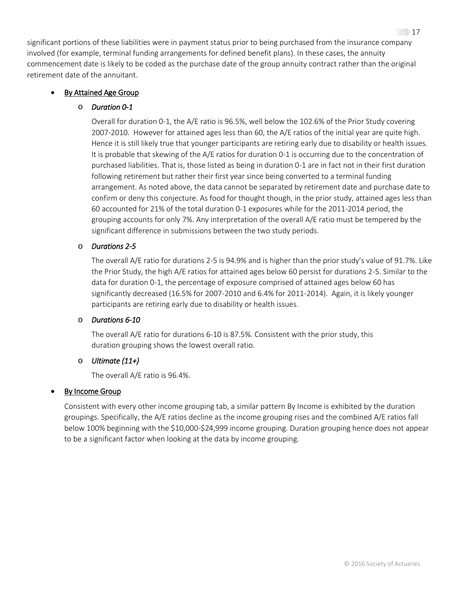significant portions of these liabilities were in payment status prior to being purchased from the insurance company involved (for example, terminal funding arrangements for defined benefit plans). In these cases, the annuity commencement date is likely to be coded as the purchase date of the group annuity contract rather than the original retirement date of the annuitant.

#### • By Attained Age Group

#### o *Duration 0-1*

Overall for duration 0-1, the A/E ratio is 96.5%, well below the 102.6% of the Prior Study covering 2007-2010. However for attained ages less than 60, the A/E ratios of the initial year are quite high. Hence it is still likely true that younger participants are retiring early due to disability or health issues. It is probable that skewing of the A/E ratios for duration 0-1 is occurring due to the concentration of purchased liabilities. That is, those listed as being in duration 0-1 are in fact not in their first duration following retirement but rather their first year since being converted to a terminal funding arrangement. As noted above, the data cannot be separated by retirement date and purchase date to confirm or deny this conjecture. As food for thought though, in the prior study, attained ages less than 60 accounted for 21% of the total duration 0-1 exposures while for the 2011-2014 period, the grouping accounts for only 7%. Any interpretation of the overall A/E ratio must be tempered by the significant difference in submissions between the two study periods.

#### o *Durations 2-5*

The overall A/E ratio for durations 2-5 is 94.9% and is higher than the prior study's value of 91.7%. Like the Prior Study, the high A/E ratios for attained ages below 60 persist for durations 2-5. Similar to the data for duration 0-1, the percentage of exposure comprised of attained ages below 60 has significantly decreased (16.5% for 2007-2010 and 6.4% for 2011-2014). Again, it is likely younger participants are retiring early due to disability or health issues.

#### o *Durations 6-10*

The overall A/E ratio for durations 6-10 is 87.5%. Consistent with the prior study, this duration grouping shows the lowest overall ratio.

#### o *Ultimate (11+)*

The overall A/E ratio is 96.4%.

#### By Income Group

Consistent with every other income grouping tab, a similar pattern By Income is exhibited by the duration groupings. Specifically, the A/E ratios decline as the income grouping rises and the combined A/E ratios fall below 100% beginning with the \$10,000-\$24,999 income grouping. Duration grouping hence does not appear to be a significant factor when looking at the data by income grouping.